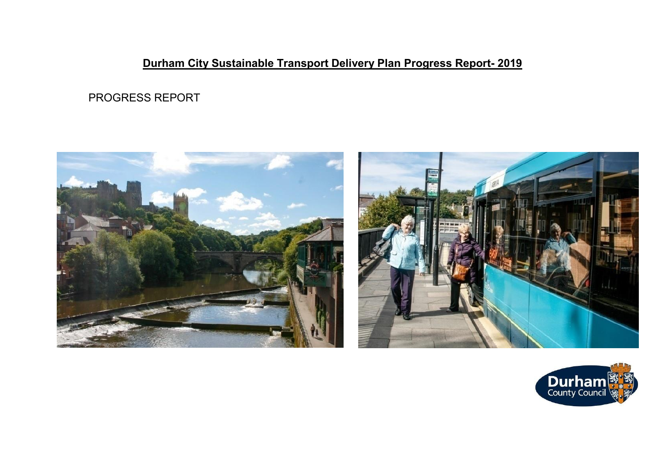# **Durham City Sustainable Transport Delivery Plan Progress Report- 2019**

PROGRESS REPORT





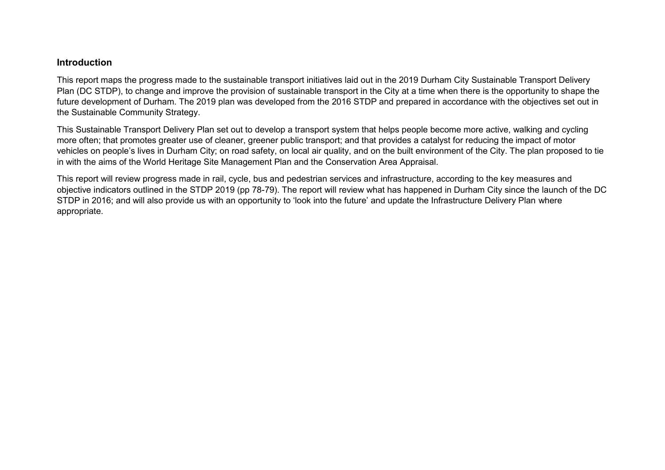#### **Introduction**

This report maps the progress made to the sustainable transport initiatives laid out in the 2019 Durham City Sustainable Transport Delivery Plan (DC STDP), to change and improve the provision of sustainable transport in the City at a time when there is the opportunity to shape the future development of Durham. The 2019 plan was developed from the 2016 STDP and prepared in accordance with the objectives set out in the Sustainable Community Strategy.

This Sustainable Transport Delivery Plan set out to develop a transport system that helps people become more active, walking and cycling more often; that promotes greater use of cleaner, greener public transport; and that provides a catalyst for reducing the impact of motor vehicles on people's lives in Durham City; on road safety, on local air quality, and on the built environment of the City. The plan proposed to tie in with the aims of the World Heritage Site Management Plan and the Conservation Area Appraisal.

This report will review progress made in rail, cycle, bus and pedestrian services and infrastructure, according to the key measures and objective indicators outlined in the STDP 2019 (pp 78-79). The report will review what has happened in Durham City since the launch of the DC STDP in 2016; and will also provide us with an opportunity to 'look into the future' and update the Infrastructure Delivery Plan where appropriate.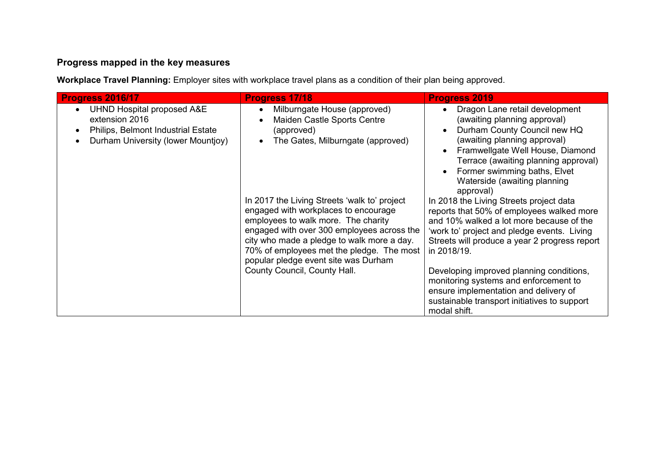## **Progress mapped in the key measures**

**Workplace Travel Planning:** Employer sites with workplace travel plans as a condition of their plan being approved.

| Progress 2016/17                                                                                                                    | Progress 17/18                                                                                                                                                                                                                                                                                                                                                                                                                                                 | <b>Progress 2019</b>                                                                                                                                                                                                                                                                                                                                                                                                                                                                                                                                                                                                                         |
|-------------------------------------------------------------------------------------------------------------------------------------|----------------------------------------------------------------------------------------------------------------------------------------------------------------------------------------------------------------------------------------------------------------------------------------------------------------------------------------------------------------------------------------------------------------------------------------------------------------|----------------------------------------------------------------------------------------------------------------------------------------------------------------------------------------------------------------------------------------------------------------------------------------------------------------------------------------------------------------------------------------------------------------------------------------------------------------------------------------------------------------------------------------------------------------------------------------------------------------------------------------------|
| <b>UHND Hospital proposed A&amp;E</b><br>extension 2016<br>Philips, Belmont Industrial Estate<br>Durham University (lower Mountjoy) | Milburngate House (approved)<br>Maiden Castle Sports Centre<br>(approved)<br>The Gates, Milburngate (approved)<br>In 2017 the Living Streets 'walk to' project<br>engaged with workplaces to encourage<br>employees to walk more. The charity<br>engaged with over 300 employees across the<br>city who made a pledge to walk more a day.<br>70% of employees met the pledge. The most<br>popular pledge event site was Durham<br>County Council, County Hall. | Dragon Lane retail development<br>(awaiting planning approval)<br>Durham County Council new HQ<br>$\bullet$<br>(awaiting planning approval)<br>Framwellgate Well House, Diamond<br>Terrace (awaiting planning approval)<br>Former swimming baths, Elvet<br>Waterside (awaiting planning<br>approval)<br>In 2018 the Living Streets project data<br>reports that 50% of employees walked more<br>and 10% walked a lot more because of the<br>'work to' project and pledge events. Living<br>Streets will produce a year 2 progress report<br>in 2018/19.<br>Developing improved planning conditions,<br>monitoring systems and enforcement to |
|                                                                                                                                     |                                                                                                                                                                                                                                                                                                                                                                                                                                                                | ensure implementation and delivery of<br>sustainable transport initiatives to support<br>modal shift.                                                                                                                                                                                                                                                                                                                                                                                                                                                                                                                                        |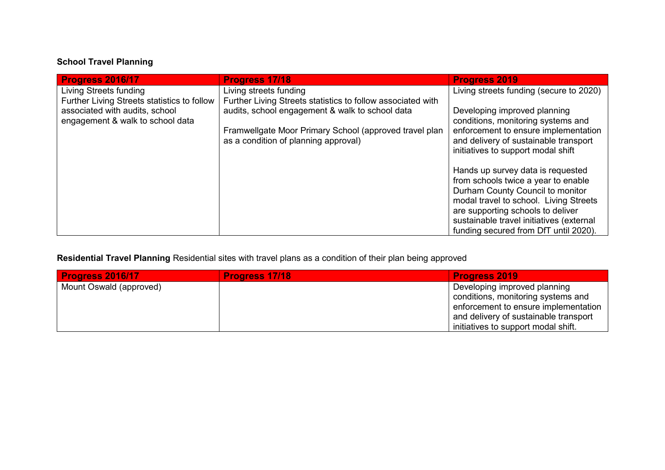# **School Travel Planning**

| Progress 2016/17                            | Progress 17/18                                              | <b>Progress 2019</b>                                                        |
|---------------------------------------------|-------------------------------------------------------------|-----------------------------------------------------------------------------|
| Living Streets funding                      | Living streets funding                                      | Living streets funding (secure to 2020)                                     |
| Further Living Streets statistics to follow | Further Living Streets statistics to follow associated with |                                                                             |
| associated with audits, school              | audits, school engagement & walk to school data             | Developing improved planning                                                |
| engagement & walk to school data            |                                                             | conditions, monitoring systems and                                          |
|                                             | Framwellgate Moor Primary School (approved travel plan      | enforcement to ensure implementation                                        |
|                                             | as a condition of planning approval)                        | and delivery of sustainable transport<br>initiatives to support modal shift |
|                                             |                                                             |                                                                             |
|                                             |                                                             | Hands up survey data is requested                                           |
|                                             |                                                             | from schools twice a year to enable                                         |
|                                             |                                                             | Durham County Council to monitor                                            |
|                                             |                                                             | modal travel to school. Living Streets                                      |
|                                             |                                                             | are supporting schools to deliver                                           |
|                                             |                                                             | sustainable travel initiatives (external                                    |
|                                             |                                                             | funding secured from DfT until 2020).                                       |

**Residential Travel Planning** Residential sites with travel plans as a condition of their plan being approved

| <b>Progress 2016/17</b> | <b>Progress 17/18</b> | <b>Progress 2019</b>                  |
|-------------------------|-----------------------|---------------------------------------|
| Mount Oswald (approved) |                       | Developing improved planning          |
|                         |                       | conditions, monitoring systems and    |
|                         |                       | enforcement to ensure implementation  |
|                         |                       | and delivery of sustainable transport |
|                         |                       | initiatives to support modal shift.   |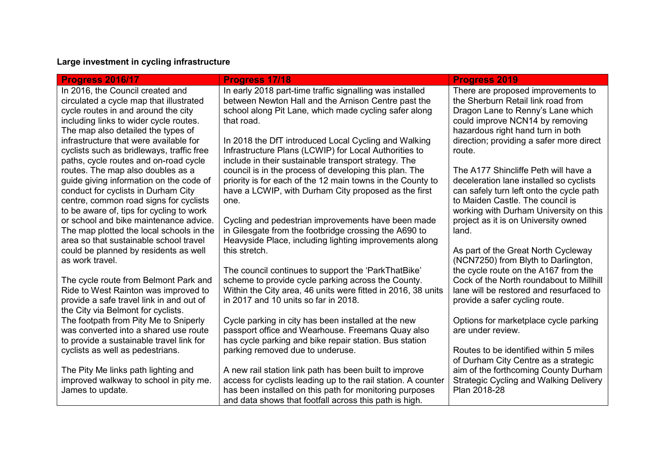# **Large investment in cycling infrastructure**

| <b>Progress 2016/17</b>                                                       | <b>Progress 17/18</b>                                         | <b>Progress 2019</b>                                                        |
|-------------------------------------------------------------------------------|---------------------------------------------------------------|-----------------------------------------------------------------------------|
| In 2016, the Council created and                                              | In early 2018 part-time traffic signalling was installed      | There are proposed improvements to                                          |
| circulated a cycle map that illustrated                                       | between Newton Hall and the Arnison Centre past the           | the Sherburn Retail link road from                                          |
| cycle routes in and around the city                                           | school along Pit Lane, which made cycling safer along         | Dragon Lane to Renny's Lane which                                           |
| including links to wider cycle routes.                                        | that road.                                                    | could improve NCN14 by removing                                             |
| The map also detailed the types of                                            |                                                               | hazardous right hand turn in both                                           |
| infrastructure that were available for                                        | In 2018 the DfT introduced Local Cycling and Walking          | direction; providing a safer more direct                                    |
| cyclists such as bridleways, traffic free                                     | Infrastructure Plans (LCWIP) for Local Authorities to         | route.                                                                      |
| paths, cycle routes and on-road cycle                                         | include in their sustainable transport strategy. The          |                                                                             |
| routes. The map also doubles as a                                             | council is in the process of developing this plan. The        | The A177 Shincliffe Peth will have a                                        |
| guide giving information on the code of                                       | priority is for each of the 12 main towns in the County to    | deceleration lane installed so cyclists                                     |
| conduct for cyclists in Durham City                                           | have a LCWIP, with Durham City proposed as the first          | can safely turn left onto the cycle path                                    |
| centre, common road signs for cyclists                                        | one.                                                          | to Maiden Castle. The council is                                            |
| to be aware of, tips for cycling to work                                      |                                                               | working with Durham University on this                                      |
| or school and bike maintenance advice.                                        | Cycling and pedestrian improvements have been made            | project as it is on University owned                                        |
| The map plotted the local schools in the                                      | in Gilesgate from the footbridge crossing the A690 to         | land.                                                                       |
| area so that sustainable school travel                                        | Heavyside Place, including lighting improvements along        |                                                                             |
| could be planned by residents as well<br>as work travel.                      | this stretch.                                                 | As part of the Great North Cycleway                                         |
|                                                                               | The council continues to support the 'ParkThatBike'           | (NCN7250) from Blyth to Darlington,<br>the cycle route on the A167 from the |
|                                                                               | scheme to provide cycle parking across the County.            | Cock of the North roundabout to Millhill                                    |
| The cycle route from Belmont Park and<br>Ride to West Rainton was improved to | Within the City area, 46 units were fitted in 2016, 38 units  | lane will be restored and resurfaced to                                     |
| provide a safe travel link in and out of                                      | in 2017 and 10 units so far in 2018.                          | provide a safer cycling route.                                              |
| the City via Belmont for cyclists.                                            |                                                               |                                                                             |
| The footpath from Pity Me to Sniperly                                         | Cycle parking in city has been installed at the new           | Options for marketplace cycle parking                                       |
| was converted into a shared use route                                         | passport office and Wearhouse. Freemans Quay also             | are under review.                                                           |
| to provide a sustainable travel link for                                      | has cycle parking and bike repair station. Bus station        |                                                                             |
| cyclists as well as pedestrians.                                              | parking removed due to underuse.                              | Routes to be identified within 5 miles                                      |
|                                                                               |                                                               | of Durham City Centre as a strategic                                        |
| The Pity Me links path lighting and                                           | A new rail station link path has been built to improve        | aim of the forthcoming County Durham                                        |
| improved walkway to school in pity me.                                        | access for cyclists leading up to the rail station. A counter | <b>Strategic Cycling and Walking Delivery</b>                               |
| James to update.                                                              | has been installed on this path for monitoring purposes       | Plan 2018-28                                                                |
|                                                                               | and data shows that footfall across this path is high.        |                                                                             |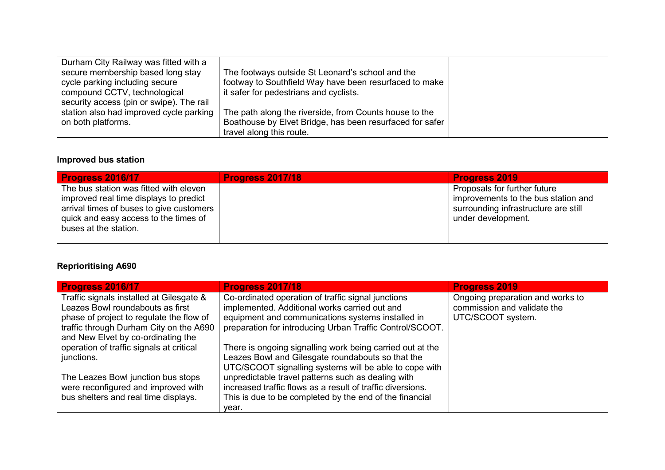| Durham City Railway was fitted with a    |                                                          |  |
|------------------------------------------|----------------------------------------------------------|--|
| secure membership based long stay        | The footways outside St Leonard's school and the         |  |
| cycle parking including secure           | footway to Southfield Way have been resurfaced to make   |  |
| compound CCTV, technological             | it safer for pedestrians and cyclists.                   |  |
| security access (pin or swipe). The rail |                                                          |  |
| station also had improved cycle parking  | The path along the riverside, from Counts house to the   |  |
| on both platforms.                       | Boathouse by Elvet Bridge, has been resurfaced for safer |  |
|                                          | travel along this route.                                 |  |

### **Improved bus station**

| <b>Progress 2016/17</b>                                                                                                                                                                        | <b>Progress 2017/18</b> | <b>Progress 2019</b>                                                                                                              |
|------------------------------------------------------------------------------------------------------------------------------------------------------------------------------------------------|-------------------------|-----------------------------------------------------------------------------------------------------------------------------------|
| The bus station was fitted with eleven<br>improved real time displays to predict<br>arrival times of buses to give customers<br>quick and easy access to the times of<br>buses at the station. |                         | Proposals for further future<br>improvements to the bus station and<br>surrounding infrastructure are still<br>under development. |

## **Reprioritising A690**

| <b>Progress 2016/17</b>                  | <b>Progress 2017/18</b>                                    | <b>Progress 2019</b>             |
|------------------------------------------|------------------------------------------------------------|----------------------------------|
| Traffic signals installed at Gilesgate & | Co-ordinated operation of traffic signal junctions         | Ongoing preparation and works to |
| Leazes Bowl roundabouts as first         | implemented. Additional works carried out and              | commission and validate the      |
| phase of project to regulate the flow of | equipment and communications systems installed in          | UTC/SCOOT system.                |
| traffic through Durham City on the A690  | preparation for introducing Urban Traffic Control/SCOOT.   |                                  |
| and New Elvet by co-ordinating the       |                                                            |                                  |
| operation of traffic signals at critical | There is ongoing signalling work being carried out at the  |                                  |
| junctions.                               | Leazes Bowl and Gilesgate roundabouts so that the          |                                  |
|                                          | UTC/SCOOT signalling systems will be able to cope with     |                                  |
| The Leazes Bowl junction bus stops       | unpredictable travel patterns such as dealing with         |                                  |
| were reconfigured and improved with      | increased traffic flows as a result of traffic diversions. |                                  |
| bus shelters and real time displays.     | This is due to be completed by the end of the financial    |                                  |
|                                          | year.                                                      |                                  |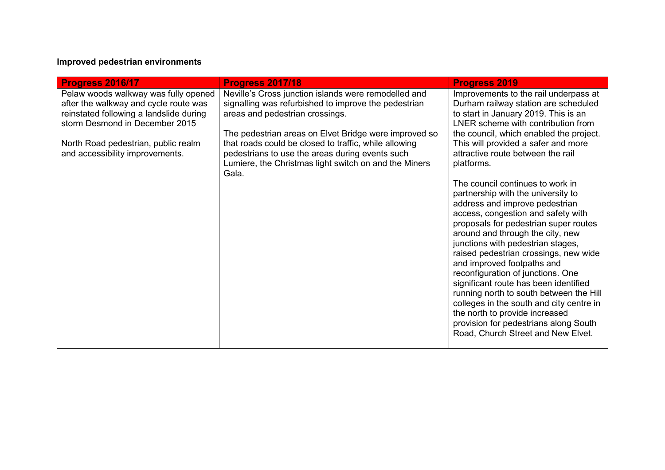### **Improved pedestrian environments**

| Progress 2016/17                                                                                                                                           | <b>Progress 2017/18</b>                                                                                                                                                                                                             | <b>Progress 2019</b>                                                                                                                                                                                                                                                                                                                                                                                                                                                                                                                                                                                                          |
|------------------------------------------------------------------------------------------------------------------------------------------------------------|-------------------------------------------------------------------------------------------------------------------------------------------------------------------------------------------------------------------------------------|-------------------------------------------------------------------------------------------------------------------------------------------------------------------------------------------------------------------------------------------------------------------------------------------------------------------------------------------------------------------------------------------------------------------------------------------------------------------------------------------------------------------------------------------------------------------------------------------------------------------------------|
| Pelaw woods walkway was fully opened<br>after the walkway and cycle route was<br>reinstated following a landslide during<br>storm Desmond in December 2015 | Neville's Cross junction islands were remodelled and<br>signalling was refurbished to improve the pedestrian<br>areas and pedestrian crossings.                                                                                     | Improvements to the rail underpass at<br>Durham railway station are scheduled<br>to start in January 2019. This is an<br>LNER scheme with contribution from                                                                                                                                                                                                                                                                                                                                                                                                                                                                   |
| North Road pedestrian, public realm<br>and accessibility improvements.                                                                                     | The pedestrian areas on Elvet Bridge were improved so<br>that roads could be closed to traffic, while allowing<br>pedestrians to use the areas during events such<br>Lumiere, the Christmas light switch on and the Miners<br>Gala. | the council, which enabled the project.<br>This will provided a safer and more<br>attractive route between the rail<br>platforms.                                                                                                                                                                                                                                                                                                                                                                                                                                                                                             |
|                                                                                                                                                            |                                                                                                                                                                                                                                     | The council continues to work in<br>partnership with the university to<br>address and improve pedestrian<br>access, congestion and safety with<br>proposals for pedestrian super routes<br>around and through the city, new<br>junctions with pedestrian stages,<br>raised pedestrian crossings, new wide<br>and improved footpaths and<br>reconfiguration of junctions. One<br>significant route has been identified<br>running north to south between the Hill<br>colleges in the south and city centre in<br>the north to provide increased<br>provision for pedestrians along South<br>Road, Church Street and New Elvet. |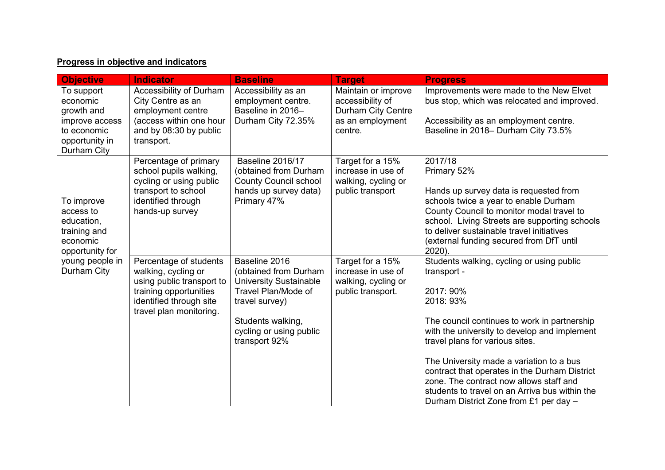### **Progress in objective and indicators**

| <b>Objective</b>                                                                                       | <b>Indicator</b>                                                                                                                                           | <b>Baseline</b>                                                                                                                                                                   | <b>Target</b>                                                                                | <b>Progress</b>                                                                                                                                                                                                                                                                                                                                                                                                                                           |
|--------------------------------------------------------------------------------------------------------|------------------------------------------------------------------------------------------------------------------------------------------------------------|-----------------------------------------------------------------------------------------------------------------------------------------------------------------------------------|----------------------------------------------------------------------------------------------|-----------------------------------------------------------------------------------------------------------------------------------------------------------------------------------------------------------------------------------------------------------------------------------------------------------------------------------------------------------------------------------------------------------------------------------------------------------|
| To support<br>economic<br>growth and<br>improve access<br>to economic<br>opportunity in<br>Durham City | Accessibility of Durham<br>City Centre as an<br>employment centre<br>(access within one hour<br>and by 08:30 by public<br>transport.                       | Accessibility as an<br>employment centre.<br>Baseline in 2016-<br>Durham City 72.35%                                                                                              | Maintain or improve<br>accessibility of<br>Durham City Centre<br>as an employment<br>centre. | Improvements were made to the New Elvet<br>bus stop, which was relocated and improved.<br>Accessibility as an employment centre.<br>Baseline in 2018- Durham City 73.5%                                                                                                                                                                                                                                                                                   |
| To improve<br>access to<br>education,<br>training and<br>economic<br>opportunity for                   | Percentage of primary<br>school pupils walking,<br>cycling or using public<br>transport to school<br>identified through<br>hands-up survey                 | <b>Baseline 2016/17</b><br>(obtained from Durham<br><b>County Council school</b><br>hands up survey data)<br>Primary 47%                                                          | Target for a 15%<br>increase in use of<br>walking, cycling or<br>public transport            | 2017/18<br>Primary 52%<br>Hands up survey data is requested from<br>schools twice a year to enable Durham<br>County Council to monitor modal travel to<br>school. Living Streets are supporting schools<br>to deliver sustainable travel initiatives<br>(external funding secured from DfT until<br>2020).                                                                                                                                                |
| young people in<br>Durham City                                                                         | Percentage of students<br>walking, cycling or<br>using public transport to<br>training opportunities<br>identified through site<br>travel plan monitoring. | Baseline 2016<br>(obtained from Durham<br><b>University Sustainable</b><br>Travel Plan/Mode of<br>travel survey)<br>Students walking,<br>cycling or using public<br>transport 92% | Target for a 15%<br>increase in use of<br>walking, cycling or<br>public transport.           | Students walking, cycling or using public<br>transport -<br>2017: 90%<br>2018: 93%<br>The council continues to work in partnership<br>with the university to develop and implement<br>travel plans for various sites.<br>The University made a variation to a bus<br>contract that operates in the Durham District<br>zone. The contract now allows staff and<br>students to travel on an Arriva bus within the<br>Durham District Zone from £1 per day - |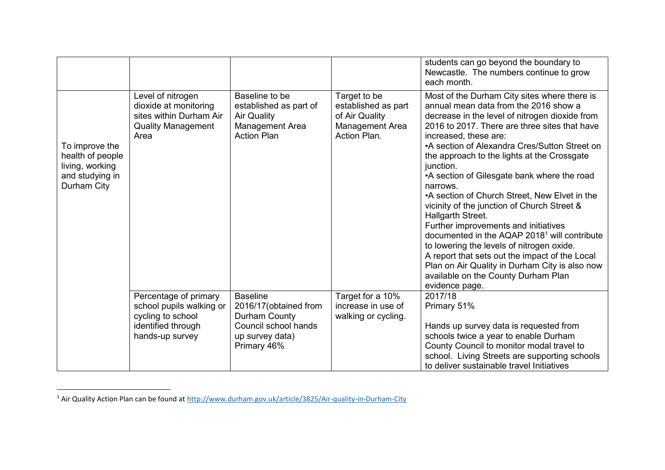|                                                                                         |                                                                                                                 |                                                                                                                      |                                                                                          | students can go beyond the boundary to<br>Newcastle. The numbers continue to grow<br>each month.                                                                                                                                                                                                                                                                                                                                                                                                                                                                                                                                                                                                                                                                                                                             |
|-----------------------------------------------------------------------------------------|-----------------------------------------------------------------------------------------------------------------|----------------------------------------------------------------------------------------------------------------------|------------------------------------------------------------------------------------------|------------------------------------------------------------------------------------------------------------------------------------------------------------------------------------------------------------------------------------------------------------------------------------------------------------------------------------------------------------------------------------------------------------------------------------------------------------------------------------------------------------------------------------------------------------------------------------------------------------------------------------------------------------------------------------------------------------------------------------------------------------------------------------------------------------------------------|
| To improve the<br>health of people<br>living, working<br>and studying in<br>Durham City | Level of nitrogen<br>dioxide at monitoring<br>sites within Durham Air<br><b>Quality Management</b><br>Area      | Baseline to be<br>established as part of<br><b>Air Quality</b><br>Management Area<br><b>Action Plan</b>              | Target to be<br>established as part<br>of Air Quality<br>Management Area<br>Action Plan. | Most of the Durham City sites where there is<br>annual mean data from the 2016 show a<br>decrease in the level of nitrogen dioxide from<br>2016 to 2017. There are three sites that have<br>increased, these are:<br>•A section of Alexandra Cres/Sutton Street on<br>the approach to the lights at the Crossgate<br>junction.<br>•A section of Gilesgate bank where the road<br>narrows.<br>•A section of Church Street, New Elvet in the<br>vicinity of the junction of Church Street &<br>Hallgarth Street.<br>Further improvements and initiatives<br>documented in the AQAP 2018 <sup>1</sup> will contribute<br>to lowering the levels of nitrogen oxide.<br>A report that sets out the impact of the Local<br>Plan on Air Quality in Durham City is also now<br>available on the County Durham Plan<br>evidence page. |
|                                                                                         | Percentage of primary<br>school pupils walking or<br>cycling to school<br>identified through<br>hands-up survey | <b>Baseline</b><br>2016/17 (obtained from<br>Durham County<br>Council school hands<br>up survey data)<br>Primary 46% | Target for a 10%<br>increase in use of<br>walking or cycling.                            | 2017/18<br>Primary 51%<br>Hands up survey data is requested from<br>schools twice a year to enable Durham<br>County Council to monitor modal travel to<br>school. Living Streets are supporting schools<br>to deliver sustainable travel Initiatives                                                                                                                                                                                                                                                                                                                                                                                                                                                                                                                                                                         |

<sup>&</sup>lt;sup>1</sup> Air Quality Action Plan can be found at http://www.durham.gov.uk/article/3825/Air-quality-in-Durham-City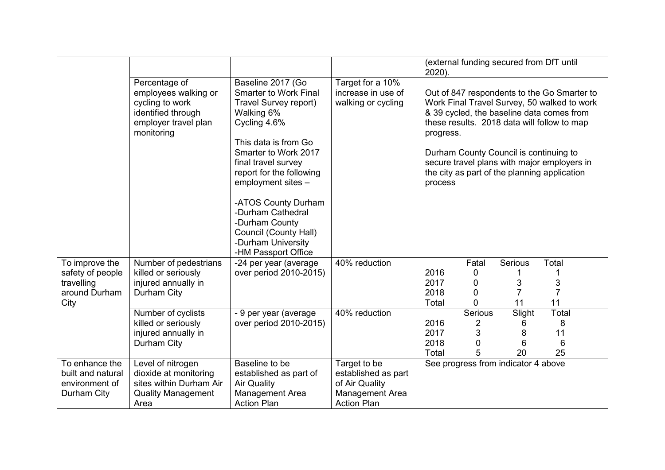|                                                                           |                                                                                                                      |                                                                                                                                                                                                                                                                               |                                                                                                | 2020).                                                                                                                                                                                                                                                                                                                                                  |                                                      | (external funding secured from DfT until |                                    |  |
|---------------------------------------------------------------------------|----------------------------------------------------------------------------------------------------------------------|-------------------------------------------------------------------------------------------------------------------------------------------------------------------------------------------------------------------------------------------------------------------------------|------------------------------------------------------------------------------------------------|---------------------------------------------------------------------------------------------------------------------------------------------------------------------------------------------------------------------------------------------------------------------------------------------------------------------------------------------------------|------------------------------------------------------|------------------------------------------|------------------------------------|--|
|                                                                           | Percentage of<br>employees walking or<br>cycling to work<br>identified through<br>employer travel plan<br>monitoring | Baseline 2017 (Go<br><b>Smarter to Work Final</b><br>Travel Survey report)<br>Walking 6%<br>Cycling 4.6%<br>This data is from Go<br>Smarter to Work 2017<br>final travel survey<br>report for the following<br>employment sites -<br>-ATOS County Durham<br>-Durham Cathedral | Target for a 10%<br>increase in use of<br>walking or cycling                                   | Out of 847 respondents to the Go Smarter to<br>Work Final Travel Survey, 50 walked to work<br>& 39 cycled, the baseline data comes from<br>these results. 2018 data will follow to map<br>progress.<br>Durham County Council is continuing to<br>secure travel plans with major employers in<br>the city as part of the planning application<br>process |                                                      |                                          |                                    |  |
|                                                                           |                                                                                                                      | -Durham County<br>Council (County Hall)<br>-Durham University<br>-HM Passport Office                                                                                                                                                                                          |                                                                                                |                                                                                                                                                                                                                                                                                                                                                         |                                                      |                                          |                                    |  |
| To improve the<br>safety of people<br>travelling<br>around Durham<br>City | Number of pedestrians<br>killed or seriously<br>injured annually in<br>Durham City                                   | -24 per year (average<br>over period 2010-2015)                                                                                                                                                                                                                               | 40% reduction                                                                                  | 2016<br>2017<br>2018<br>Total                                                                                                                                                                                                                                                                                                                           | Fatal<br>0<br>$\mathbf 0$<br>$\mathbf 0$<br>$\Omega$ | Serious<br>3<br>7<br>11                  | Total<br>3<br>$\overline{7}$<br>11 |  |
|                                                                           | Number of cyclists<br>killed or seriously<br>injured annually in<br>Durham City                                      | - 9 per year (average<br>over period 2010-2015)                                                                                                                                                                                                                               | 40% reduction                                                                                  | 2016<br>2017<br>2018<br>Total                                                                                                                                                                                                                                                                                                                           | Serious<br>2<br>3<br>0<br>5                          | Slight<br>6<br>8<br>6<br>20              | Total<br>8<br>11<br>6<br>25        |  |
| To enhance the<br>built and natural<br>environment of<br>Durham City      | Level of nitrogen<br>dioxide at monitoring<br>sites within Durham Air<br><b>Quality Management</b><br>Area           | Baseline to be<br>established as part of<br><b>Air Quality</b><br>Management Area<br><b>Action Plan</b>                                                                                                                                                                       | Target to be<br>established as part<br>of Air Quality<br>Management Area<br><b>Action Plan</b> |                                                                                                                                                                                                                                                                                                                                                         |                                                      | See progress from indicator 4 above      |                                    |  |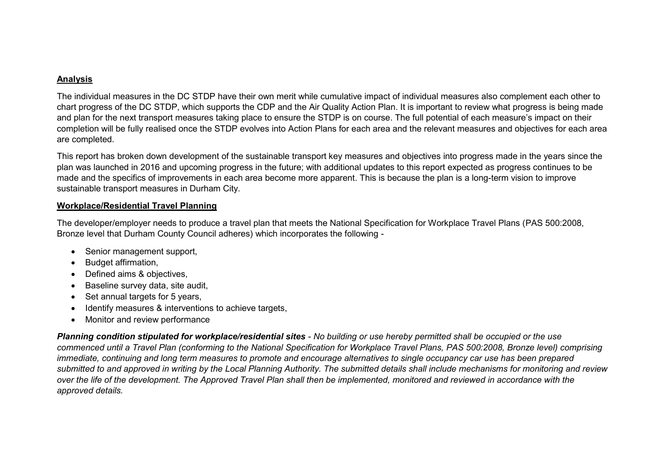#### **Analysis**

The individual measures in the DC STDP have their own merit while cumulative impact of individual measures also complement each other to chart progress of the DC STDP, which supports the CDP and the Air Quality Action Plan. It is important to review what progress is being made and plan for the next transport measures taking place to ensure the STDP is on course. The full potential of each measure's impact on their completion will be fully realised once the STDP evolves into Action Plans for each area and the relevant measures and objectives for each area are completed.

This report has broken down development of the sustainable transport key measures and objectives into progress made in the years since the plan was launched in 2016 and upcoming progress in the future; with additional updates to this report expected as progress continues to be made and the specifics of improvements in each area become more apparent. This is because the plan is a long-term vision to improve sustainable transport measures in Durham City.

#### **Workplace/Residential Travel Planning**

The developer/employer needs to produce a travel plan that meets the National Specification for Workplace Travel Plans (PAS 500:2008, Bronze level that Durham County Council adheres) which incorporates the following -

- Senior management support,
- Budget affirmation,
- Defined aims & objectives,
- Baseline survey data, site audit,
- Set annual targets for 5 years,
- Identify measures & interventions to achieve targets,
- Monitor and review performance

*Planning condition stipulated for workplace/residential sites - No building or use hereby permitted shall be occupied or the use commenced until a Travel Plan (conforming to the National Specification for Workplace Travel Plans, PAS 500:2008, Bronze level) comprising immediate, continuing and long term measures to promote and encourage alternatives to single occupancy car use has been prepared submitted to and approved in writing by the Local Planning Authority. The submitted details shall include mechanisms for monitoring and review over the life of the development. The Approved Travel Plan shall then be implemented, monitored and reviewed in accordance with the approved details.*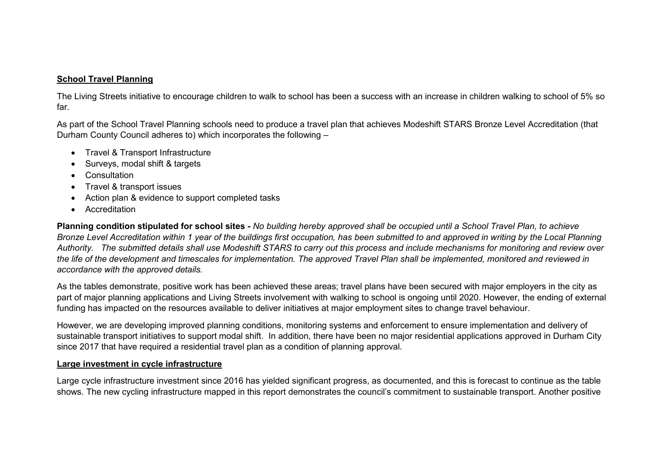#### **School Travel Planning**

The Living Streets initiative to encourage children to walk to school has been a success with an increase in children walking to school of 5% so far.

As part of the School Travel Planning schools need to produce a travel plan that achieves Modeshift STARS Bronze Level Accreditation (that Durham County Council adheres to) which incorporates the following –

- Travel & Transport Infrastructure
- Surveys, modal shift & targets
- Consultation
- Travel & transport issues
- Action plan & evidence to support completed tasks
- Accreditation

**Planning condition stipulated for school sites** *- No building hereby approved shall be occupied until a School Travel Plan, to achieve Bronze Level Accreditation within 1 year of the buildings first occupation, has been submitted to and approved in writing by the Local Planning Authority. The submitted details shall use Modeshift STARS to carry out this process and include mechanisms for monitoring and review over the life of the development and timescales for implementation. The approved Travel Plan shall be implemented, monitored and reviewed in accordance with the approved details.* 

As the tables demonstrate, positive work has been achieved these areas; travel plans have been secured with major employers in the city as part of major planning applications and Living Streets involvement with walking to school is ongoing until 2020. However, the ending of external funding has impacted on the resources available to deliver initiatives at major employment sites to change travel behaviour.

However, we are developing improved planning conditions, monitoring systems and enforcement to ensure implementation and delivery of sustainable transport initiatives to support modal shift. In addition, there have been no major residential applications approved in Durham City since 2017 that have required a residential travel plan as a condition of planning approval.

#### **Large investment in cycle infrastructure**

Large cycle infrastructure investment since 2016 has yielded significant progress, as documented, and this is forecast to continue as the table shows. The new cycling infrastructure mapped in this report demonstrates the council's commitment to sustainable transport. Another positive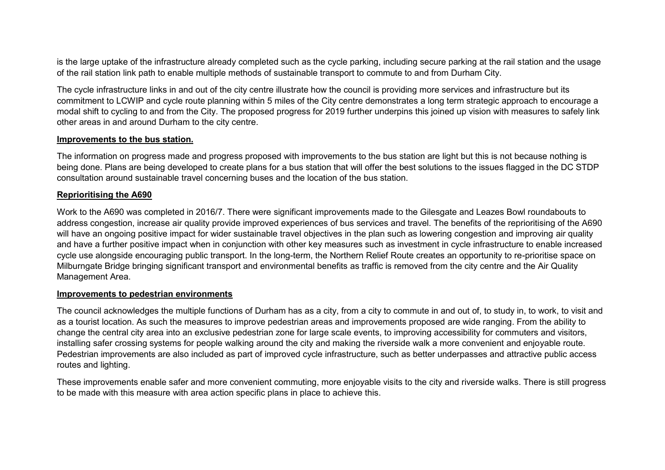is the large uptake of the infrastructure already completed such as the cycle parking, including secure parking at the rail station and the usage of the rail station link path to enable multiple methods of sustainable transport to commute to and from Durham City.

The cycle infrastructure links in and out of the city centre illustrate how the council is providing more services and infrastructure but its commitment to LCWIP and cycle route planning within 5 miles of the City centre demonstrates a long term strategic approach to encourage a modal shift to cycling to and from the City. The proposed progress for 2019 further underpins this joined up vision with measures to safely link other areas in and around Durham to the city centre.

#### **Improvements to the bus station.**

The information on progress made and progress proposed with improvements to the bus station are light but this is not because nothing is being done. Plans are being developed to create plans for a bus station that will offer the best solutions to the issues flagged in the DC STDP consultation around sustainable travel concerning buses and the location of the bus station.

#### **Reprioritising the A690**

Work to the A690 was completed in 2016/7. There were significant improvements made to the Gilesgate and Leazes Bowl roundabouts to address congestion, increase air quality provide improved experiences of bus services and travel. The benefits of the reprioritising of the A690 will have an ongoing positive impact for wider sustainable travel objectives in the plan such as lowering congestion and improving air quality and have a further positive impact when in conjunction with other key measures such as investment in cycle infrastructure to enable increased cycle use alongside encouraging public transport. In the long-term, the Northern Relief Route creates an opportunity to re-prioritise space on Milburngate Bridge bringing significant transport and environmental benefits as traffic is removed from the city centre and the Air Quality Management Area.

#### **Improvements to pedestrian environments**

The council acknowledges the multiple functions of Durham has as a city, from a city to commute in and out of, to study in, to work, to visit and as a tourist location. As such the measures to improve pedestrian areas and improvements proposed are wide ranging. From the ability to change the central city area into an exclusive pedestrian zone for large scale events, to improving accessibility for commuters and visitors, installing safer crossing systems for people walking around the city and making the riverside walk a more convenient and enjoyable route. Pedestrian improvements are also included as part of improved cycle infrastructure, such as better underpasses and attractive public access routes and lighting.

These improvements enable safer and more convenient commuting, more enjoyable visits to the city and riverside walks. There is still progress to be made with this measure with area action specific plans in place to achieve this.